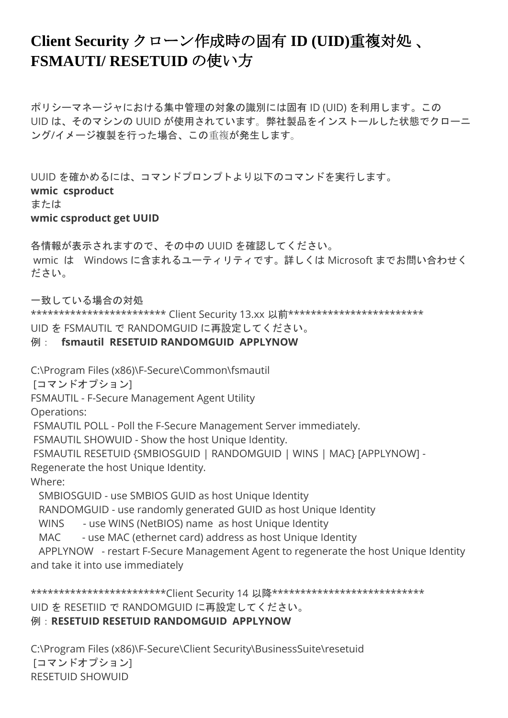## **Client Security** クローン作成時の固有 **ID (UID)**重複対処 、 **FSMAUTI/ RESETUID** の使い方

ポリシーマネージャにおける集中管理の対象の識別には固有 ID (UID) を利用します。この UID は、そのマシンの UUID が使用されています。弊社製品をインストールした状態でクローニ ング/イメージ複製を行った場合、この重複が発生します。

UUID を確かめるには、コマンドプロンプトより以下のコマンドを実行します。 **wmic csproduct** または **wmic csproduct get UUID**

各情報が表示されますので、その中の UUID を確認してください。 wmic は Windows に含まれるユーティリティです。詳しくは Microsoft までお問い合わせく ださい。

一致している場合の対処

\*\*\*\*\*\*\*\*\*\*\*\*\*\*\*\*\*\*\*\*\*\*\*\*\*\*\*\* Client Security 13.xx 以前\*\*\*\*\*\*\*\*\*\*\*\*\*\*\*\*\*\*\*\*\*\*\*\*\*\*\*

UID を FSMAUTIL で RANDOMGUID に再設定してください。

## 例: **fsmautil RESETUID RANDOMGUID APPLYNOW**

C:\Program Files (x86)\F-Secure\Common\fsmautil

[コマンドオプション]

FSMAUTIL - F-Secure Management Agent Utility

Operations:

FSMAUTIL POLL - Poll the F-Secure Management Server immediately.

FSMAUTIL SHOWUID - Show the host Unique Identity.

FSMAUTIL RESETUID {SMBIOSGUID | RANDOMGUID | WINS | MAC} [APPLYNOW] -

Regenerate the host Unique Identity.

Where:

SMBIOSGUID - use SMBIOS GUID as host Unique Identity

RANDOMGUID - use randomly generated GUID as host Unique Identity

WINS - use WINS (NetBIOS) name as host Unique Identity

MAC - use MAC (ethernet card) address as host Unique Identity

 APPLYNOW - restart F-Secure Management Agent to regenerate the host Unique Identity and take it into use immediately

\*\*\*\*\*\*\*\*\*\*\*\*\*\*\*\*\*\*\*\*\*\*\*\*\*Client Security 14 以降\*\*\*\*\*\*\*\*\*\*\*\*\*\*\*\*\*\*\*\*\*\*\*\*\*\*\*\*\*\*\*\*\* UID を RESETIID で RANDOMGUID に再設定してください。 例:**RESETUID RESETUID RANDOMGUID APPLYNOW**

C:\Program Files (x86)\F-Secure\Client Security\BusinessSuite\resetuid [コマンドオプション] RESETUID SHOWUID